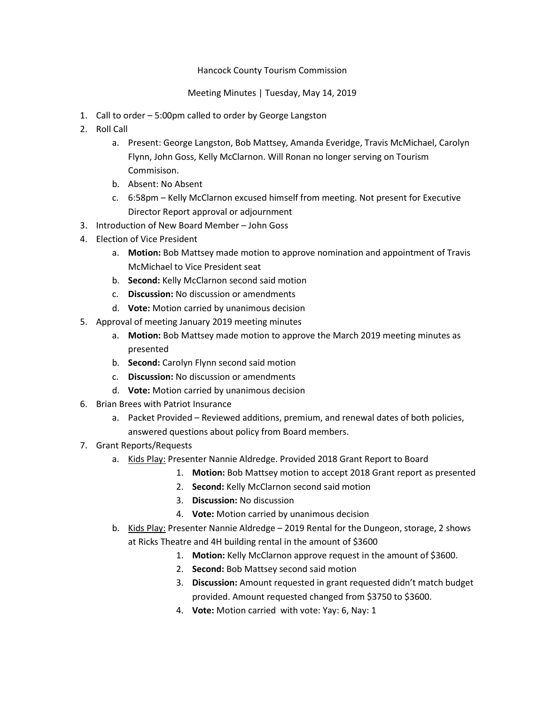## Hancock County Tourism Commission

## Meeting Minutes | Tuesday, May 14, 2019

- 1. Call to order 5:00pm called to order by George Langston
- 2. Roll Call
	- a. Present: George Langston, Bob Mattsey, Amanda Everidge, Travis McMichael, Carolyn Flynn, John Goss, Kelly McClarnon. Will Ronan no longer serving on Tourism Commisison.
	- b. Absent: No Absent
	- c. 6:58pm Kelly McClarnon excused himself from meeting. Not present for Executive Director Report approval or adjournment
- 3. Introduction of New Board Member John Goss
- 4. Election of Vice President
	- a. Motion: Bob Mattsey made motion to approve nomination and appointment of Travis McMichael to Vice President seat
	- b. Second: Kelly McClarnon second said motion
	- c. Discussion: No discussion or amendments
	- d. Vote: Motion carried by unanimous decision
- 5. Approval of meeting January 2019 meeting minutes
	- a. Motion: Bob Mattsey made motion to approve the March 2019 meeting minutes as presented
	- b. Second: Carolyn Flynn second said motion
	- c. Discussion: No discussion or amendments
	- d. Vote: Motion carried by unanimous decision
- 6. Brian Brees with Patriot Insurance
	- a. Packet Provided Reviewed additions, premium, and renewal dates of both policies, answered questions about policy from Board members.
- 7. Grant Reports/Requests
	- a. Kids Play: Presenter Nannie Aldredge. Provided 2018 Grant Report to Board
		- 1. Motion: Bob Mattsey motion to accept 2018 Grant report as presented
		- 2. Second: Kelly McClarnon second said motion
		- 3. Discussion: No discussion
		- 4. Vote: Motion carried by unanimous decision
	- b. Kids Play: Presenter Nannie Aldredge 2019 Rental for the Dungeon, storage, 2 shows at Ricks Theatre and 4H building rental in the amount of \$3600
		- 1. Motion: Kelly McClarnon approve request in the amount of \$3600.
		- 2. Second: Bob Mattsey second said motion
		- 3. Discussion: Amount requested in grant requested didn't match budget provided. Amount requested changed from \$3750 to \$3600.
		- 4. Vote: Motion carried with vote: Yay: 6, Nay: 1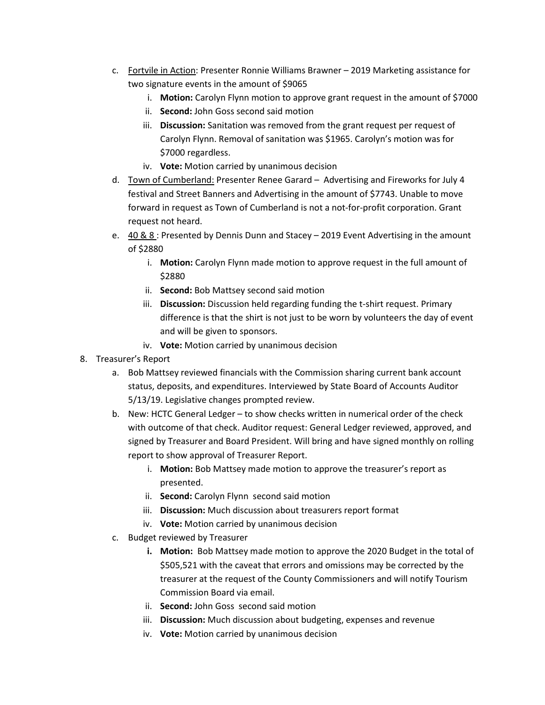- c. Fortvile in Action: Presenter Ronnie Williams Brawner 2019 Marketing assistance for two signature events in the amount of \$9065
	- i. Motion: Carolyn Flynn motion to approve grant request in the amount of \$7000
	- ii. Second: John Goss second said motion
	- iii. Discussion: Sanitation was removed from the grant request per request of Carolyn Flynn. Removal of sanitation was \$1965. Carolyn's motion was for \$7000 regardless.
	- iv. Vote: Motion carried by unanimous decision
- d. Town of Cumberland: Presenter Renee Garard Advertising and Fireworks for July 4 festival and Street Banners and Advertising in the amount of \$7743. Unable to move forward in request as Town of Cumberland is not a not-for-profit corporation. Grant request not heard.
- e.  $40.88$ : Presented by Dennis Dunn and Stacey 2019 Event Advertising in the amount of \$2880
	- i. Motion: Carolyn Flynn made motion to approve request in the full amount of \$2880
	- ii. Second: Bob Mattsey second said motion
	- iii. Discussion: Discussion held regarding funding the t-shirt request. Primary difference is that the shirt is not just to be worn by volunteers the day of event and will be given to sponsors.
	- iv. Vote: Motion carried by unanimous decision
- 8. Treasurer's Report
	- a. Bob Mattsey reviewed financials with the Commission sharing current bank account status, deposits, and expenditures. Interviewed by State Board of Accounts Auditor 5/13/19. Legislative changes prompted review.
	- b. New: HCTC General Ledger to show checks written in numerical order of the check with outcome of that check. Auditor request: General Ledger reviewed, approved, and signed by Treasurer and Board President. Will bring and have signed monthly on rolling report to show approval of Treasurer Report.
		- i. Motion: Bob Mattsey made motion to approve the treasurer's report as presented.
		- ii. Second: Carolyn Flynn second said motion
		- iii. Discussion: Much discussion about treasurers report format
		- iv. Vote: Motion carried by unanimous decision
	- c. Budget reviewed by Treasurer
		- i. Motion: Bob Mattsey made motion to approve the 2020 Budget in the total of \$505,521 with the caveat that errors and omissions may be corrected by the treasurer at the request of the County Commissioners and will notify Tourism Commission Board via email.
		- ii. **Second:** John Goss second said motion
		- iii. Discussion: Much discussion about budgeting, expenses and revenue
		- iv. Vote: Motion carried by unanimous decision